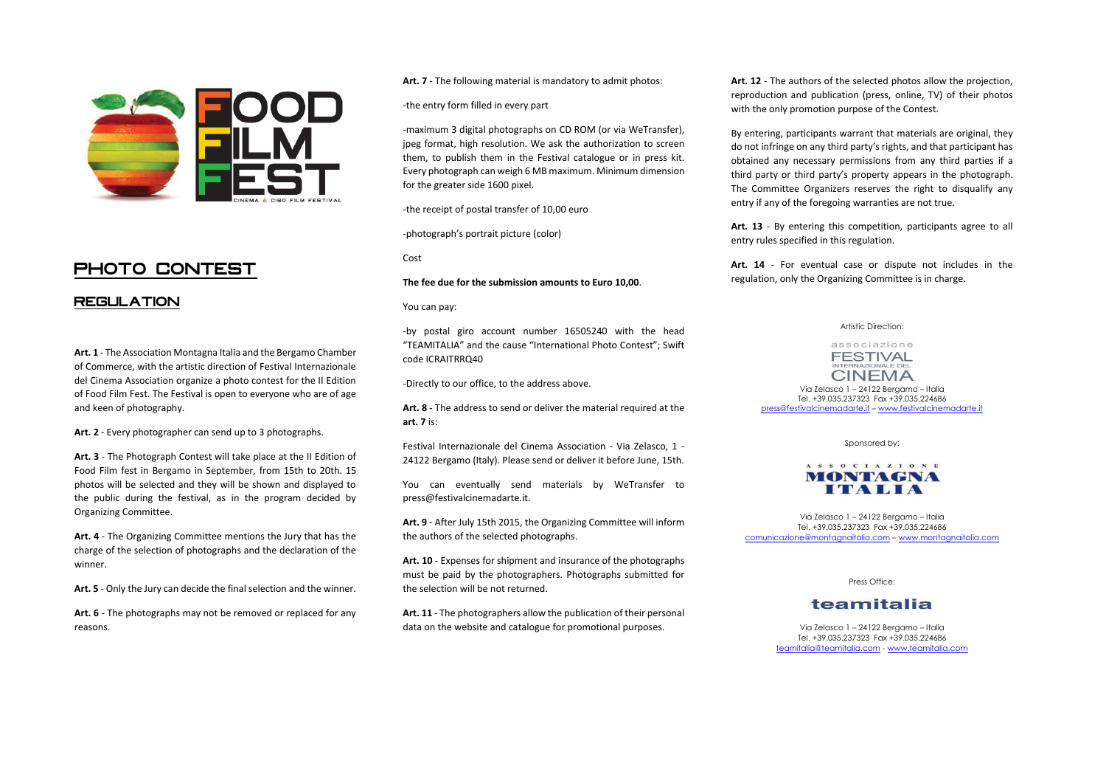

# **PHOTO CONTEST**

#### **REGULATION**

**Art. 1** - The Association Montagna Italia and the Bergamo Chamber of Commerce, with the artistic direction of Festival Internazionale del Cinema Association organize a photo contest for the II Edition of Food Film Fest. The Festival is open to everyone who are of age and keen of photography.

**Art. 2** - Every photographer can send up to 3 photographs.

**Art. 3** - The Photograph Contest will take place at the II Edition of Food Film fest in Bergamo in September, from 15th to 20th. 15 photos will be selected and they will be shown and displayed to the public during the festival, as in the program decided by Organizing Committee.

**Art. 4** - The Organizing Committee mentions the Jury that has the charge of the selection of photographs and the declaration of the winner.

**Art. 5** - Only the Jury can decide the final selection and the winner.

**Art. 6** - The photographs may not be removed or replaced for any reasons.

**Art. 7** - The following material is mandatory to admit photos:

-the entry form filled in every part

-maximum 3 digital photographs on CD ROM (or via WeTransfer), jpeg format, high resolution. We ask the authorization to screen them, to publish them in the Festival catalogue or in press kit. Every photograph can weigh 6 MB maximum. Minimum dimension for the greater side 1600 pixel.

-the receipt of postal transfer of 10,00 euro

-photograph's portrait picture (color)

Cost

**The fee due for the submission amounts to Euro 10,00**.

You can pay:

-by postal giro account number 16505240 with the head "TEAMITALIA" and the cause "International Photo Contest"; Swift code ICRAITRRQ40

-Directly to our office, to the address above.

**Art. 8** - The address to send or deliver the material required at the **art. 7** is:

Festival Internazionale del Cinema Association - Via Zelasco, 1 - 24122 Bergamo (Italy). Please send or deliver it before June, 15th.

You can eventually send materials by WeTransfer to press@festivalcinemadarte.it.

**Art. 9** - After July 15th 2015, the Organizing Committee will inform the authors of the selected photographs.

**Art. 10** - Expenses for shipment and insurance of the photographs must be paid by the photographers. Photographs submitted for the selection will be not returned.

**Art. 11** - The photographers allow the publication of their personal data on the website and catalogue for promotional purposes.

**Art. 12** - The authors of the selected photos allow the projection, reproduction and publication (press, online, TV) of their photos with the only promotion purpose of the Contest.

By entering, participants warrant that materials are original, they do not infringe on any third party's rights, and that participant has obtained any necessary permissions from any third parties if a third party or third party's property appears in the photograph. The Committee Organizers reserves the right to disqualify any entry if any of the foregoing warranties are not true.

**Art. 13** - By entering this competition, participants agree to all entry rules specified in this regulation.

**Art. 14** - For eventual case or dispute not includes in the regulation, only the Organizing Committee is in charge.

Artistic Direction:

#### associazione **FESTIVAL CINEMA**

Via Zelasco 1 – 24122 Bergamo – Italia Tel. +39.035.237323 Fax +39.035.224686 [press@festivalcinemadarte.it](mailto:press@festivalcinemadarte.it) – [www.festivalcinemadarte.it](http://www.festivalcinemadarte.it/)

Sponsored by:

#### ASSOCIAZIONE MONTAGNA **ITALIA**

Via Zelasco 1 – 24122 Bergamo – Italia Tel. +39.035.237323 Fax +39.035.224686 [comunicazione@montagnaitalia.com](mailto:comunicazione@montagnaitalia.com) – [www.montagnaitalia.com](http://www.montagnaitalia.com/)

Press Office:

### teamitalia

Via Zelasco 1 – 24122 Bergamo – Italia Tel. +39.035.237323 Fax +39.035.224686 [teamitalia@teamitalia.com](mailto:teamitalia@teamitalia.com) - [www.teamitalia.com](http://www.teamitalia.com/)